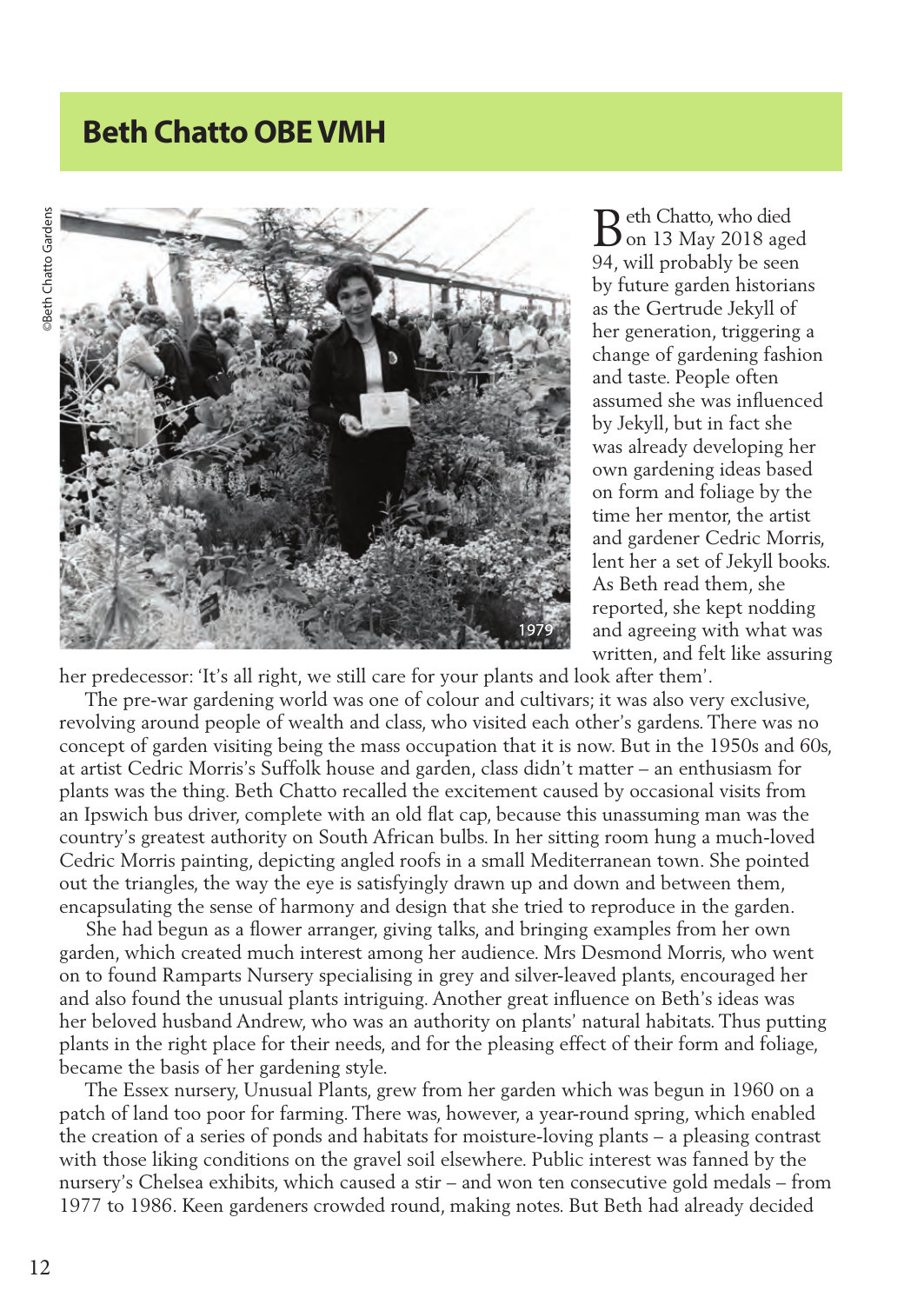## **Beth Chatto OBE VMH**



eth Chatto, who died Beth Chatto, who died<br>
on 13 May 2018 aged 94, will probably be seen by future garden historians as the Gertrude Jekyll of her generation, triggering a change of gardening fashion and taste. People often assumed she was influenced by Jekyll, but in fact she was already developing her own gardening ideas based on form and foliage by the time her mentor, the artist and gardener Cedric Morris, lent her a set of Jekyll books. As Beth read them, she reported, she kept nodding and agreeing with what was written, and felt like assuring

her predecessor: 'It's all right, we still care for your plants and look after them'.

 The pre-war gardening world was one of colour and cultivars; it was also very exclusive, revolving around people of wealth and class, who visited each other's gardens. There was no concept of garden visiting being the mass occupation that it is now. But in the 1950s and 60s, at artist Cedric Morris's Suffolk house and garden, class didn't matter – an enthusiasm for plants was the thing. Beth Chatto recalled the excitement caused by occasional visits from an Ipswich bus driver, complete with an old flat cap, because this unassuming man was the country's greatest authority on South African bulbs. In her sitting room hung a much-loved Cedric Morris painting, depicting angled roofs in a small Mediterranean town. She pointed out the triangles, the way the eye is satisfyingly drawn up and down and between them, encapsulating the sense of harmony and design that she tried to reproduce in the garden.

 She had begun as a flower arranger, giving talks, and bringing examples from her own garden, which created much interest among her audience. Mrs Desmond Morris, who went on to found Ramparts Nursery specialising in grey and silver-leaved plants, encouraged her and also found the unusual plants intriguing. Another great influence on Beth's ideas was her beloved husband Andrew, who was an authority on plants' natural habitats. Thus putting plants in the right place for their needs, and for the pleasing effect of their form and foliage, became the basis of her gardening style.

 The Essex nursery, Unusual Plants, grew from her garden which was begun in 1960 on a patch of land too poor for farming. There was, however, a year-round spring, which enabled the creation of a series of ponds and habitats for moisture-loving plants – a pleasing contrast with those liking conditions on the gravel soil elsewhere. Public interest was fanned by the nursery's Chelsea exhibits, which caused a stir – and won ten consecutive gold medals – from 1977 to 1986. Keen gardeners crowded round, making notes. But Beth had already decided